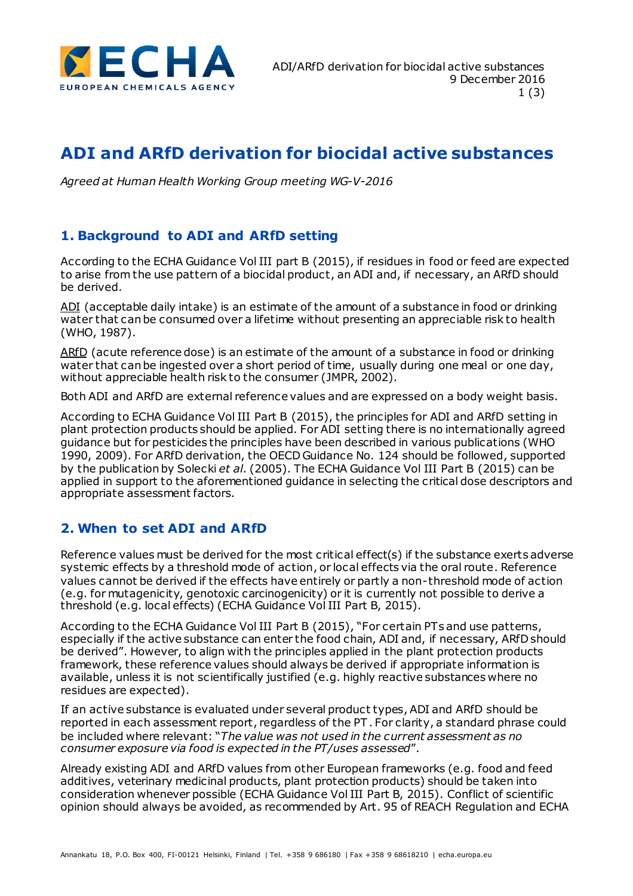

# **ADI and ARfD derivation for biocidal active substances**

*Agreed at Human Health Working Group meeting WG-V-2016*

## **1. Background to ADI and ARfD setting**

According to the ECHA Guidance Vol III part B (2015), if residues in food or feed are expected to arise from the use pattern of a biocidal product, an ADI and, if necessary, an ARfD should be derived.

ADI (acceptable daily intake) is an estimate of the amount of a substance in food or drinking water that can be consumed over a lifetime without presenting an appreciable risk to health (WHO, 1987).

ARfD (acute reference dose) is an estimate of the amount of a substance in food or drinking water that can be ingested over a short period of time, usually during one meal or one day, without appreciable health risk to the consumer (JMPR, 2002).

Both ADI and ARfD are external reference values and are expressed on a body weight basis.

According to ECHA Guidance Vol III Part B (2015), the principles for ADI and ARfD setting in plant protection products should be applied. For ADI setting there is no internationally agreed guidance but for pesticides the principles have been described in various publications (WHO 1990, 2009). For ARfD derivation, the OECD Guidance No. 124 should be followed, supported by the publication by Solecki *et al*. (2005). The ECHA Guidance Vol III Part B (2015) can be applied in support to the aforementioned guidance in selecting the critical dose descriptors and appropriate assessment factors.

### **2. When to set ADI and ARfD**

Reference values must be derived for the most critical effect(s) if the substance exerts adverse systemic effects by a threshold mode of action, or local effects via the oral route. Reference values cannot be derived if the effects have entirely or partly a non-threshold mode of action (e.g. for mutagenicity, genotoxic carcinogenicity) or it is currently not possible to derive a threshold (e.g. local effects) (ECHA Guidance Vol III Part B, 2015).

According to the ECHA Guidance Vol III Part B (2015), "For certain PTs and use patterns, especially if the active substance can enter the food chain, ADI and, if necessary, ARfD should be derived". However, to align with the principles applied in the plant protection products framework, these reference values should always be derived if appropriate information is available, unless it is not scientifically justified (e.g. highly reactive substances where no residues are expected).

If an active substance is evaluated under several product types, ADI and ARfD should be reported in each assessment report, regardless of the PT. For clarity, a standard phrase could be included where relevant: "*The value was not used in the current assessment as no consumer exposure via food is expected in the PT/uses assessed*".

Already existing ADI and ARfD values from other European frameworks (e.g. food and feed additives, veterinary medicinal products, plant protection products) should be taken into consideration whenever possible (ECHA Guidance Vol III Part B, 2015). Conflict of scientific opinion should always be avoided, as recommended by Art. 95 of REACH Regulation and ECHA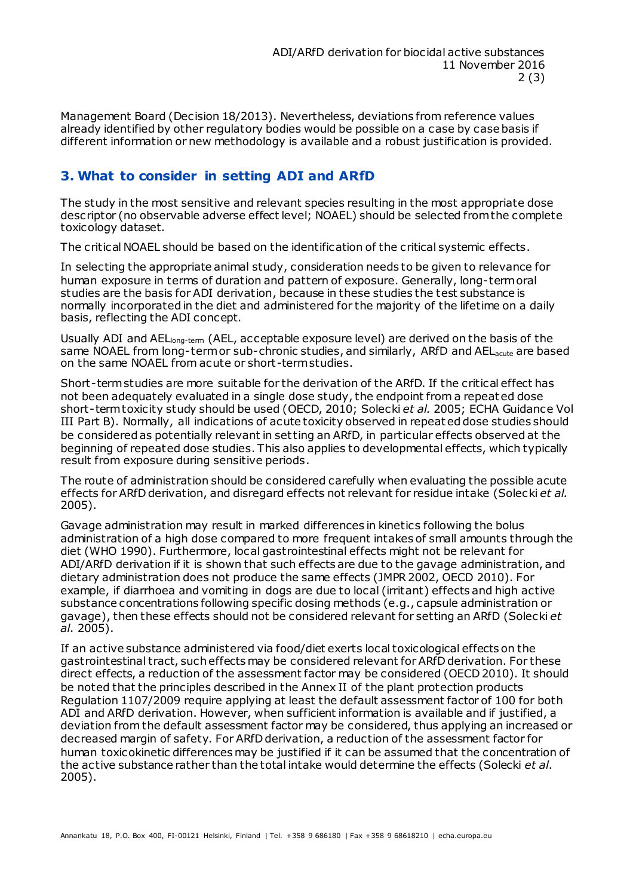Management Board (Decision 18/2013). Nevertheless, deviations from reference values already identified by other regulatory bodies would be possible on a case by case basis if different information or new methodology is available and a robust justification is provided.

### **3. What to consider in setting ADI and ARfD**

The study in the most sensitive and relevant species resulting in the most appropriate dose descriptor (no observable adverse effect level; NOAEL) should be selected from the complete toxicology dataset.

The critical NOAEL should be based on the identification of the critical systemic effects.

In selecting the appropriate animal study, consideration needs to be given to relevance for human exposure in terms of duration and pattern of exposure. Generally, long-term oral studies are the basis for ADI derivation, because in these studies the test substance is normally incorporated in the diet and administered for the majority of the lifetime on a daily basis, reflecting the ADI concept.

Usually ADI and AELlong-term (AEL, acceptable exposure level) are derived on the basis of the same NOAEL from long-term or sub-chronic studies, and similarly, ARfD and AEL<sub>acute</sub> are based on the same NOAEL from acute or short-term studies.

Short-term studies are more suitable for the derivation of the ARfD. If the critical effect has not been adequately evaluated in a single dose study, the endpoint from a repeated dose short-term toxicity study should be used (OECD, 2010; Solecki *et al.* 2005; ECHA Guidance Vol III Part B). Normally, all indications of acute toxicity observed in repeateddose studies should be considered as potentially relevant in setting an ARfD, in particular effects observed at the beginning of repeated dose studies. This also applies to developmental effects, which typically result from exposure during sensitive periods.

The route of administration should be considered carefully when evaluating the possible acute effects for ARfD derivation, and disregard effects not relevant for residue intake (Solecki *et al.* 2005).

Gavage administration may result in marked differences in kinetics following the bolus administration of a high dose compared to more frequent intakes of small amounts through the diet (WHO 1990). Furthermore, local gastrointestinal effects might not be relevant for ADI/ARfD derivation if it is shown that such effects are due to the gavage administration, and dietary administration does not produce the same effects (JMPR 2002, OECD 2010). For example, if diarrhoea and vomiting in dogs are due to local (irritant) effects and high active substance concentrations following specific dosing methods (e.g., capsule administration or gavage), then these effects should not be considered relevant for setting an ARfD (Solecki *et al*. 2005).

If an active substance administered via food/diet exerts local toxicological effects on the gastrointestinal tract, such effects may be considered relevant for ARfD derivation. For these direct effects, a reduction of the assessment factor may be considered (OECD 2010). It should be noted that the principles described in the Annex II of the plant protection products Regulation 1107/2009 require applying at least the default assessment factor of 100 for both ADI and ARfD derivation. However, when sufficient information is available and if justified, a deviation from the default assessment factor may be considered, thus applying an increased or decreased margin of safety. For ARfD derivation, a reduction of the assessment factor for human toxicokinetic differences may be justified if it can be assumed that the concentration of the active substance rather than the total intake would determine the effects (Solecki *et al*. 2005).